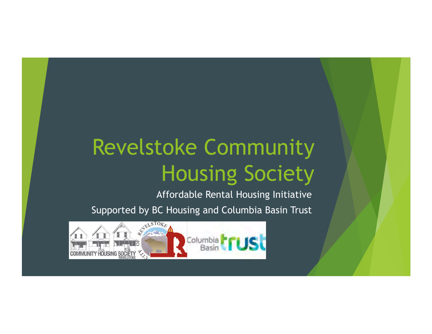# Revelstoke Community Housing Society

Affordable Rental Housing Initiative

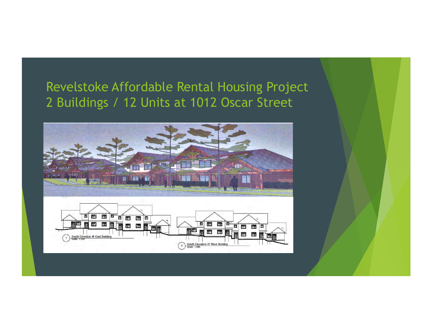#### Revelstoke Affordable Rental Housing Project 2 Buildings / 12 Units at 1012 Oscar Street

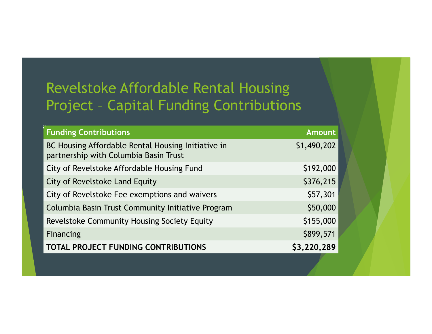## Revelstoke Affordable Rental Housing Project – Capital Funding Contributions

| <b>Funding Contributions</b>                                                                | <b>Amount</b> |
|---------------------------------------------------------------------------------------------|---------------|
| BC Housing Affordable Rental Housing Initiative in<br>partnership with Columbia Basin Trust | \$1,490,202   |
| City of Revelstoke Affordable Housing Fund                                                  | \$192,000     |
| City of Revelstoke Land Equity                                                              | \$376,215     |
| City of Revelstoke Fee exemptions and waivers                                               | \$57,301      |
| Columbia Basin Trust Community Initiative Program                                           | \$50,000      |
| Revelstoke Community Housing Society Equity                                                 | \$155,000     |
| Financing                                                                                   | \$899,571     |
| <b>TOTAL PROJECT FUNDING CONTRIBUTIONS</b>                                                  | \$3,220,289   |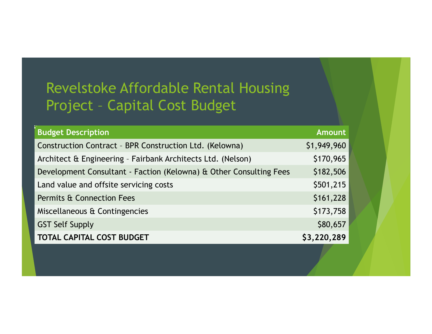## Revelstoke Affordable Rental Housing Project – Capital Cost Budget

| <b>Budget Description</b>                                          | <b>Amount</b> |
|--------------------------------------------------------------------|---------------|
| Construction Contract - BPR Construction Ltd. (Kelowna)            | \$1,949,960   |
| Architect & Engineering - Fairbank Architects Ltd. (Nelson)        | \$170,965     |
| Development Consultant - Faction (Kelowna) & Other Consulting Fees | \$182,506     |
| Land value and offsite servicing costs                             | \$501,215     |
| <b>Permits &amp; Connection Fees</b>                               | \$161,228     |
| Miscellaneous & Contingencies                                      | \$173,758     |
| <b>GST Self Supply</b>                                             | \$80,657      |
| <b>TOTAL CAPITAL COST BUDGET</b>                                   | \$3,220,289   |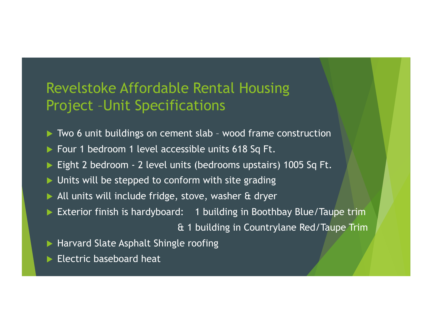#### Revelstoke Affordable Rental Housing Project –Unit Specifications

- ▶ Two 6 unit buildings on cement slab wood frame construction
- **Four 1 bedroom 1 level accessible units 618 Sq Ft.**
- Eight 2 bedroom 2 level units (bedrooms upstairs) 1005 Sq Ft.
- $\blacktriangleright$  Units will be stepped to conform with site grading
- ▶ All units will include fridge, stove, washer & dryer
- ! Exterior finish is hardyboard: 1 building in Boothbay Blue/Taupe trim

& 1 building in Countrylane Red/Taupe Trim

- **In Harvard Slate Asphalt Shingle roofing**
- $\blacktriangleright$  Electric baseboard heat